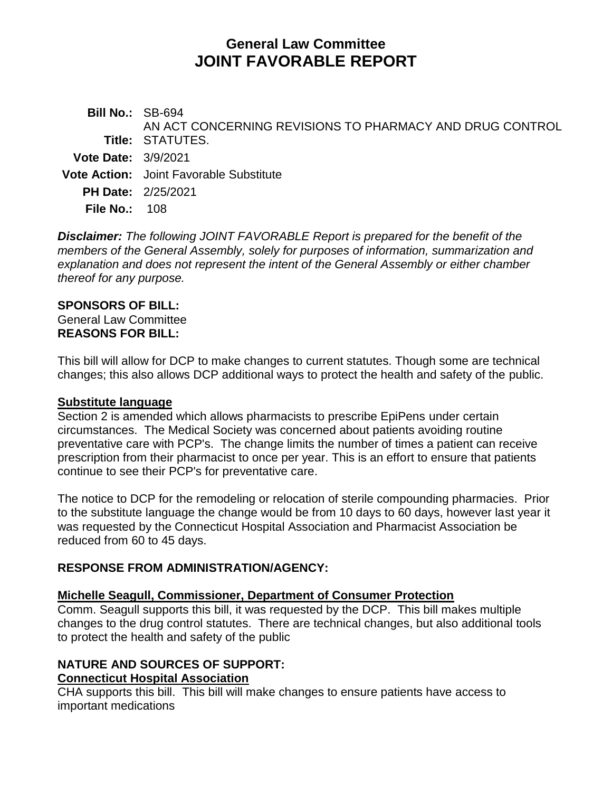# **General Law Committee JOINT FAVORABLE REPORT**

**Bill No.:** SB-694 **Title:** STATUTES. AN ACT CONCERNING REVISIONS TO PHARMACY AND DRUG CONTROL **Vote Date:** 3/9/2021 **Vote Action:** Joint Favorable Substitute **PH Date:** 2/25/2021 **File No.:** 108

*Disclaimer: The following JOINT FAVORABLE Report is prepared for the benefit of the members of the General Assembly, solely for purposes of information, summarization and explanation and does not represent the intent of the General Assembly or either chamber thereof for any purpose.*

### **SPONSORS OF BILL:**

General Law Committee **REASONS FOR BILL:**

This bill will allow for DCP to make changes to current statutes. Though some are technical changes; this also allows DCP additional ways to protect the health and safety of the public.

#### **Substitute language**

Section 2 is amended which allows pharmacists to prescribe EpiPens under certain circumstances. The Medical Society was concerned about patients avoiding routine preventative care with PCP's. The change limits the number of times a patient can receive prescription from their pharmacist to once per year. This is an effort to ensure that patients continue to see their PCP's for preventative care.

The notice to DCP for the remodeling or relocation of sterile compounding pharmacies. Prior to the substitute language the change would be from 10 days to 60 days, however last year it was requested by the Connecticut Hospital Association and Pharmacist Association be reduced from 60 to 45 days.

### **RESPONSE FROM ADMINISTRATION/AGENCY:**

### **Michelle Seagull, Commissioner, Department of Consumer Protection**

Comm. Seagull supports this bill, it was requested by the DCP. This bill makes multiple changes to the drug control statutes. There are technical changes, but also additional tools to protect the health and safety of the public

# **NATURE AND SOURCES OF SUPPORT:**

#### **Connecticut Hospital Association**

CHA supports this bill. This bill will make changes to ensure patients have access to important medications